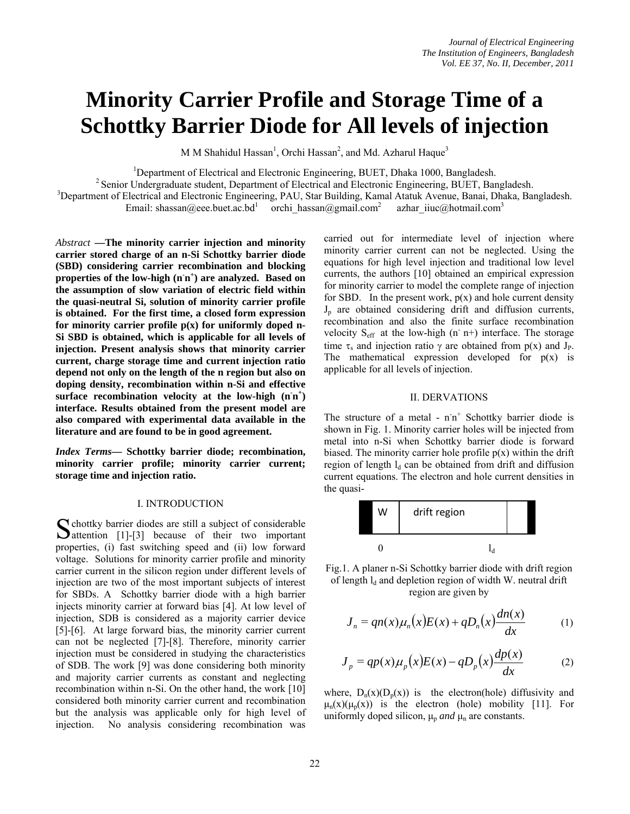# **Minority Carrier Profile and Storage Time of a Schottky Barrier Diode for All levels of injection**

M M Shahidul Hassan<sup>1</sup>, Orchi Hassan<sup>2</sup>, and Md. Azharul Haque<sup>3</sup>

<sup>1</sup>Department of Electrical and Electronic Engineering, BUET, Dhaka 1000, Bangladesh.

 $<sup>2</sup>$  Senior Undergraduate student, Department of Electrical and Electronic Engineering, BUET, Bangladesh.</sup> <sup>3</sup>Department of Electrical and Electronic Engineering, PAU, Star Building, Kamal Atatuk Avenue, Banai, Dhaka, Bangladesh.

Email: shassan@eee.buet.ac.bd<sup>1</sup> orchi\_hassan@gmail.com<sup>2</sup> azhar iiuc@hotmail.com<sup>3</sup>

*Abstract* **—The minority carrier injection and minority carrier stored charge of an n-Si Schottky barrier diode (SBD) considering carrier recombination and blocking properties of the low-high (n-n+ ) are analyzed. Based on the assumption of slow variation of electric field within the quasi-neutral Si, solution of minority carrier profile is obtained. For the first time, a closed form expression for minority carrier profile p(x) for uniformly doped n-Si SBD is obtained, which is applicable for all levels of injection. Present analysis shows that minority carrier current, charge storage time and current injection ratio depend not only on the length of the n region but also on doping density, recombination within n-Si and effective**  surface recombination velocity at the low-high  $(n n^+)$ **interface. Results obtained from the present model are also compared with experimental data available in the literature and are found to be in good agreement.** 

*Index Terms***— Schottky barrier diode; recombination, minority carrier profile; minority carrier current; storage time and injection ratio.**

## I. INTRODUCTION

chottky barrier diodes are still a subject of considerable  $\Delta$ attention [1]-[3] because of their two important properties, (i) fast switching speed and (ii) low forward voltage. Solutions for minority carrier profile and minority carrier current in the silicon region under different levels of injection are two of the most important subjects of interest for SBDs. A Schottky barrier diode with a high barrier injects minority carrier at forward bias [4]. At low level of injection, SDB is considered as a majority carrier device [5]-[6]. At large forward bias, the minority carrier current can not be neglected [7]-[8]. Therefore, minority carrier injection must be considered in studying the characteristics of SDB. The work [9] was done considering both minority and majority carrier currents as constant and neglecting recombination within n-Si. On the other hand, the work [10] considered both minority carrier current and recombination but the analysis was applicable only for high level of injection. No analysis considering recombination was S chottky barrier diodes are still a subject of considerable<br>
Sattention [1]-[3] because of their two important

carried out for intermediate level of injection where minority carrier current can not be neglected. Using the equations for high level injection and traditional low level currents, the authors [10] obtained an empirical expression for minority carrier to model the complete range of injection for SBD. In the present work,  $p(x)$  and hole current density  $J_p$  are obtained considering drift and diffusion currents, recombination and also the finite surface recombination velocity  $S_{\text{eff}}$  at the low-high (n n+) interface. The storage time  $\tau_s$  and injection ratio  $\gamma$  are obtained from p(x) and J<sub>P</sub>. The mathematical expression developed for  $p(x)$  is applicable for all levels of injection.

#### II. DERVATIONS

The structure of a metal -  $n^+$  Schottky barrier diode is shown in Fig. 1. Minority carrier holes will be injected from metal into n-Si when Schottky barrier diode is forward biased. The minority carrier hole profile  $p(x)$  within the drift region of length  $l_d$  can be obtained from drift and diffusion current equations. The electron and hole current densities in the quasi-



Fig.1. A planer n-Si Schottky barrier diode with drift region of length  $l_d$  and depletion region of width W. neutral drift region are given by

$$
J_n = qn(x)\mu_n(x)E(x) + qD_n(x)\frac{dn(x)}{dx}
$$
 (1)

$$
J_p = qp(x)\mu_p(x)E(x) - qD_p(x)\frac{dp(x)}{dx}
$$
 (2)

where,  $D_n(x)(D_n(x))$  is the electron(hole) diffusivity and  $\mu_n(x)(\mu_n(x))$  is the electron (hole) mobility [11]. For uniformly doped silicon,  $\mu_p$  *and*  $\mu_n$  are constants.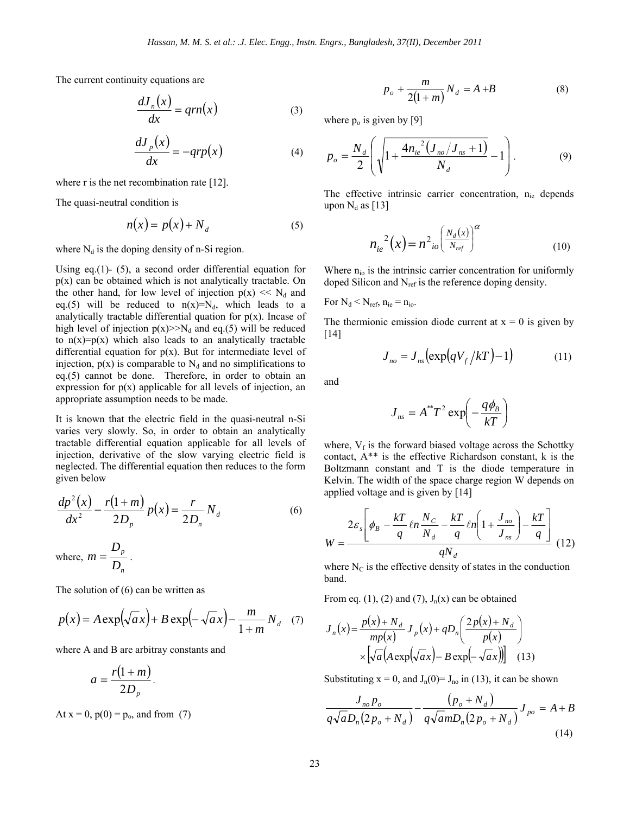The current continuity equations are

$$
\frac{dJ_n(x)}{dx} = qrn(x) \tag{3}
$$

$$
\frac{dJ_p(x)}{dx} = -qrp(x) \tag{4}
$$

where r is the net recombination rate [12].

The quasi-neutral condition is

$$
n(x) = p(x) + N_d \tag{5}
$$

where  $N_d$  is the doping density of n-Si region.

Using eq.(1)- (5), a second order differential equation for  $p(x)$  can be obtained which is not analytically tractable. On the other hand, for low level of injection  $p(x) \ll N_d$  and eq.(5) will be reduced to  $n(x)=N_d$ , which leads to a analytically tractable differential quation for  $p(x)$ . Incase of high level of injection  $p(x) \gg N_d$  and eq.(5) will be reduced to  $n(x)=p(x)$  which also leads to an analytically tractable differential equation for  $p(x)$ . But for intermediate level of injection,  $p(x)$  is comparable to  $N_d$  and no simplifications to eq.(5) cannot be done. Therefore, in order to obtain an expression for  $p(x)$  applicable for all levels of injection, an appropriate assumption needs to be made.

It is known that the electric field in the quasi-neutral n-Si varies very slowly. So, in order to obtain an analytically tractable differential equation applicable for all levels of injection, derivative of the slow varying electric field is neglected. The differential equation then reduces to the form given below

$$
\frac{dp^2(x)}{dx^2} - \frac{r(1+m)}{2D_p}p(x) = \frac{r}{2D_n}N_d
$$
 (6)

where, 
$$
m = \frac{D_p}{D_n}
$$
.

The solution of (6) can be written as

$$
p(x) = A \exp(\sqrt{a}x) + B \exp(-\sqrt{a}x) - \frac{m}{1+m}N_d
$$
 (7)

where A and B are arbitray constants and

$$
a=\frac{r(1+m)}{2D_p}.
$$

At  $x = 0$ ,  $p(0) = p_0$ , and from (7)

$$
p_o + \frac{m}{2(1+m)} N_d = A + B \tag{8}
$$

where  $p_0$  is given by [9]

$$
p_o = \frac{N_d}{2} \left( \sqrt{1 + \frac{4n_{ie}^2 (J_{no}/J_{ns} + 1)}{N_d}} - 1 \right).
$$
 (9)

The effective intrinsic carrier concentration,  $n_{ie}$  depends upon  $N_d$  as [13]

$$
n_{ie}^{2}(x) = n^{2}{}_{io} \left(\frac{N_{d}(x)}{N_{ref}}\right)^{\alpha}
$$
 (10)

Where  $n_{io}$  is the intrinsic carrier concentration for uniformly doped Silicon and N<sub>ref</sub> is the reference doping density.

For  $N_d \leq N_{ref}$ ,  $n_{ie} = n_{io}$ .

The thermionic emission diode current at  $x = 0$  is given by [14]

$$
J_{no} = J_{ns} \left( \exp\left( qV_f / kT \right) - 1 \right) \tag{11}
$$

and

$$
J_{ns} = A^{**}T^2 \exp\left(-\frac{q\phi_B}{kT}\right)
$$

where,  $V_f$  is the forward biased voltage across the Schottky contact, A\*\* is the effective Richardson constant, k is the Boltzmann constant and T is the diode temperature in Kelvin. The width of the space charge region W depends on applied voltage and is given by [14]

$$
W = \frac{2\varepsilon_s \left[ \phi_B - \frac{kT}{q} \ln \frac{N_C}{N_d} - \frac{kT}{q} \ln \left( 1 + \frac{J_{no}}{J_{ns}} \right) - \frac{kT}{q} \right]}{qN_d} (12)
$$

where  $N_c$  is the effective density of states in the conduction band.

From eq. (1), (2) and (7),  $J_n(x)$  can be obtained

$$
J_n(x) = \frac{p(x) + N_d}{mp(x)} J_p(x) + qD_n\left(\frac{2p(x) + N_d}{p(x)}\right)
$$

$$
\times \left[\sqrt{a}\left(A\exp\left(\sqrt{a}x\right) - B\exp\left(-\sqrt{a}x\right)\right)\right] \quad (13)
$$

Substituting  $x = 0$ , and  $J_n(0) = J_{n0}$  in (13), it can be shown

$$
\frac{J_{no}p_o}{q\sqrt{a}D_n(2p_o+N_d)} - \frac{(p_o+N_d)}{q\sqrt{a}mD_n(2p_o+N_d)}J_{po} = A+B
$$
\n(14)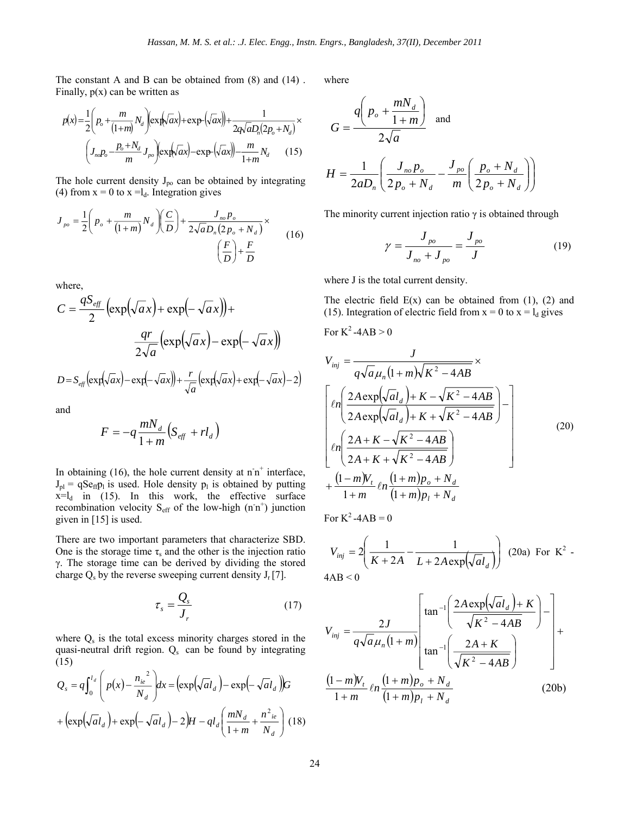The constant A and B can be obtained from (8) and (14) . Finally,  $p(x)$  can be written as

$$
p(x) = \frac{1}{2} \left( p_o + \frac{m}{(1+m)} N_d \right) \exp\left(\sqrt{ax}\right) + \exp\left(\sqrt{ax}\right) + \frac{1}{2q\sqrt{a}D_n(2p_o + N_d)} \times \left( J_{n_o} p_o - \frac{p_o + N_d}{m} J_{po} \right) \exp\left(\sqrt{ax}\right) - \exp\left(\sqrt{ax}\right) - \frac{m}{1+m} N_d \tag{15}
$$

The hole current density  $J_{po}$  can be obtained by integrating (4) from  $x = 0$  to  $x = l_d$ . Integration gives

$$
J_{\rho o} = \frac{1}{2} \left( p_o + \frac{m}{(1+m)} N_d \right) \left( \frac{C}{D} \right) + \frac{J_{\rho o} p_o}{2\sqrt{a} D_n (2p_o + N_d)} \times \frac{F}{D} \tag{16}
$$

where,

$$
C = \frac{qS_{\text{eff}}}{2} \left( \exp\left(\sqrt{a}x\right) + \exp\left(-\sqrt{a}x\right) \right) +
$$

$$
\frac{qr}{2\sqrt{a}} \left( \exp\left(\sqrt{a}x\right) - \exp\left(-\sqrt{a}x\right) \right)
$$

$$
D = S_{\text{eff}} \left( \exp\left(\sqrt{a}x\right) - \exp\left(-\sqrt{a}x\right) \right) + \frac{r}{\sqrt{a}} \left( \exp\left(\sqrt{a}x\right) + \exp\left(-\sqrt{a}x\right) - 2 \right)
$$

and

$$
F = -q \frac{mN_d}{1+m} \left( S_{\text{eff}} + r l_d \right)
$$

In obtaining  $(16)$ , the hole current density at  $n^+$  interface,  $J_{pl}$  = qSe<sub>ff</sub>p<sub>l</sub> is used. Hole density p<sub>l</sub> is obtained by putting  $x=l_d$  in (15). In this work, the effective surface recombination velocity  $S_{\text{eff}}$  of the low-high (n<sup>-n+</sup>) junction given in [15] is used.

There are two important parameters that characterize SBD. One is the storage time  $\tau_s$  and the other is the injection ratio γ. The storage time can be derived by dividing the stored charge  $Q_s$  by the reverse sweeping current density  $J_r[7]$ .

$$
\tau_s = \frac{Q_s}{J_r} \tag{17}
$$

where  $Q_s$  is the total excess minority charges stored in the quasi-neutral drift region.  $Q_s$  can be found by integrating (15)

$$
Q_s = q \int_0^{l_d} \left( p(x) - \frac{n_{ie}^2}{N_d} \right) dx = \left( \exp\left(\sqrt{a}l_d\right) - \exp\left(-\sqrt{a}l_d\right) \right) G
$$

$$
+ \left( \exp\left(\sqrt{a}l_d\right) + \exp\left(-\sqrt{a}l_d\right) - 2 \right) H - q l_d \left( \frac{m N_d}{1 + m} + \frac{n^2_{ie}}{N_d} \right) (18)
$$

where

$$
G = \frac{q\left(p_o + \frac{mN_d}{1+m}\right)}{2\sqrt{a}} \text{ and}
$$
  

$$
H = \frac{1}{2aD_n} \left(\frac{J_{no}p_o}{2p_o + N_d} - \frac{J_{po}}{m} \left(\frac{p_o + N_d}{2p_o + N_d}\right)\right)
$$

The minority current injection ratio  $\gamma$  is obtained through

$$
\gamma = \frac{J_{po}}{J_{no} + J_{po}} = \frac{J_{po}}{J}
$$
 (19)

where J is the total current density.

The electric field  $E(x)$  can be obtained from (1), (2) and (15). Integration of electric field from  $x = 0$  to  $x = l_d$  gives

For 
$$
K^2
$$
-4AB > 0

$$
V_{inj} = \frac{J}{q\sqrt{a}\mu_n(1+m)\sqrt{K^2 - 4AB}} \times
$$
  
\n
$$
\left[ln\left(\frac{2A\exp(\sqrt{al}_d) + K - \sqrt{K^2 - 4AB}}{2A\exp(\sqrt{al}_d) + K + \sqrt{K^2 - 4AB}}\right) - \frac{2A + K - \sqrt{K^2 - 4AB}}{2A + K + \sqrt{K^2 - 4AB}}\right]
$$
  
\n
$$
+ \frac{(1-m)V_t}{1+m}ln\frac{(1+m)p_b + N_d}{(1+m)p_l + N_d}
$$
  
\n(20)

For  $K^2$ -4AB = 0

$$
V_{inj} = 2\left(\frac{1}{K + 2A} - \frac{1}{L + 2A\exp(\sqrt{a}l_d)}\right)
$$
 (20a) For K<sup>2</sup> -  
4AB < 0

$$
V_{inj} = \frac{2J}{q\sqrt{a}\mu_n(1+m)} \left[ \tan^{-1} \left( \frac{2A \exp(\sqrt{a}l_d) + K}{\sqrt{K^2 - 4AB}} \right) - \right] + \frac{(1-m)V_t}{1+m} \ln \frac{(1+m)p_o + N_d}{(1+m)p_l + N_d}
$$
(20b)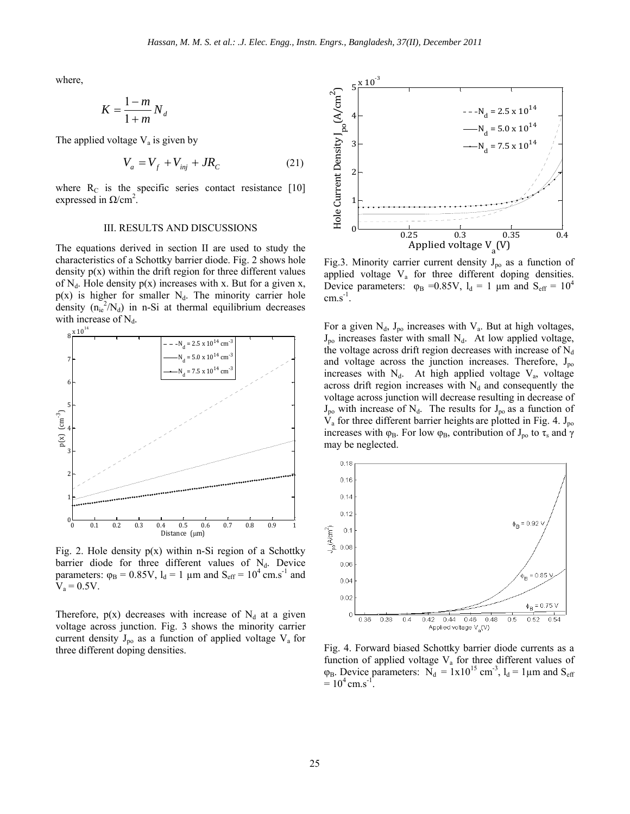where,

$$
K = \frac{1-m}{1+m} N_d
$$

The applied voltage  $V_a$  is given by

$$
V_a = V_f + V_{inj} + JR_c \tag{21}
$$

where  $R_C$  is the specific series contact resistance [10] expressed in  $Ω/cm<sup>2</sup>$ .

#### III. RESULTS AND DISCUSSIONS

The equations derived in section II are used to study the characteristics of a Schottky barrier diode. Fig. 2 shows hole density  $p(x)$  within the drift region for three different values of  $N_d$ . Hole density  $p(x)$  increases with x. But for a given x,  $p(x)$  is higher for smaller N<sub>d</sub>. The minority carrier hole density  $(n_{ie}^2/N_d)$  in n-Si at thermal equilibrium decreases with increase of  $N_d$ .



Fig. 2. Hole density  $p(x)$  within n-Si region of a Schottky barrier diode for three different values of  $N_d$ . Device parameters:  $\varphi_B = 0.85V$ ,  $l_d = 1 \mu m$  and  $S_{eff} = 10^4$  cm.s<sup>-1</sup> and  $V_a = 0.5V$ .

Therefore,  $p(x)$  decreases with increase of  $N_d$  at a given voltage across junction. Fig. 3 shows the minority carrier current density  $J_{po}$  as a function of applied voltage  $V_a$  for three different doping densities.



Fig.3. Minority carrier current density  $J_{\text{po}}$  as a function of applied voltage  $V_a$  for three different doping densities. Device parameters:  $\varphi_B = 0.85V$ ,  $l_d = 1 \mu m$  and  $S_{eff} = 10^4$  $cm.s^{-1}$ .

For a given  $N_d$ ,  $J_{po}$  increases with  $V_a$ . But at high voltages,  $J_{po}$  increases faster with small  $N_d$ . At low applied voltage, the voltage across drift region decreases with increase of  $N_d$ and voltage across the junction increases. Therefore,  $J_{po}$ increases with  $N_d$ . At high applied voltage  $V_a$ , voltage across drift region increases with  $N_d$  and consequently the voltage across junction will decrease resulting in decrease of  $J_{po}$  with increase of  $N_d$ . The results for  $J_{po}$  as a function of  $V_a$  for three different barrier heights are plotted in Fig. 4.  $J_{po}$ increases with  $\varphi_B$ . For low  $\varphi_B$ , contribution of  $J_{po}$  to  $\tau_s$  and  $\gamma$ may be neglected.



Fig. 4. Forward biased Schottky barrier diode currents as a function of applied voltage  $V_a$  for three different values of  $\varphi_B$ . Device parameters:  $N_d = 1x10^{15}$  cm<sup>-3</sup>,  $l_d = 1 \mu$ m and  $S_{eff}$  $= 10^4$  cm.s<sup>-1</sup>.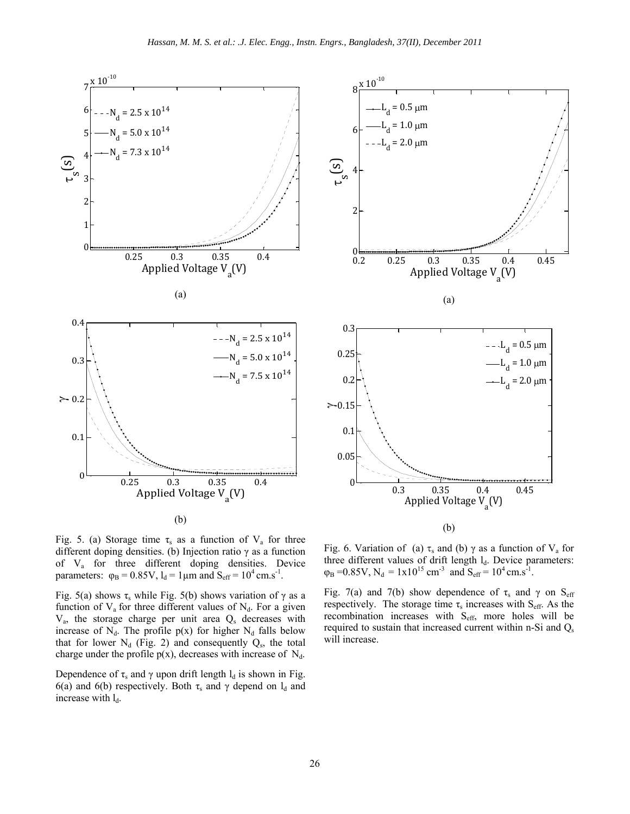



Fig. 5. (a) Storage time  $\tau_s$  as a function of  $V_a$  for three different doping densities. (b) Injection ratio  $\gamma$  as a function of Va for three different doping densities. Device parameters:  $\varphi_B = 0.85V$ ,  $l_d = 1 \mu m$  and  $S_{eff} = 10^4 \text{ cm.s}^{-1}$ .

Fig. 5(a) shows  $\tau_s$  while Fig. 5(b) shows variation of  $\gamma$  as a function of  $V_a$  for three different values of  $N_d$ . For a given  $V<sub>a</sub>$ , the storage charge per unit area  $Q<sub>s</sub>$  decreases with increase of  $N_d$ . The profile  $p(x)$  for higher  $N_d$  falls below that for lower  $N_d$  (Fig. 2) and consequently  $Q_s$ , the total charge under the profile  $p(x)$ , decreases with increase of  $N_d$ .

Dependence of  $\tau_s$  and  $\gamma$  upon drift length  $l_d$  is shown in Fig. 6(a) and 6(b) respectively. Both  $\tau_s$  and  $\gamma$  depend on  $l_d$  and increase with  $l_d$ .

Fig. 6. Variation of (a)  $\tau_s$  and (b)  $\gamma$  as a function of  $V_a$  for three different values of drift length  $l_d$ . Device parameters:  $\varphi_B = 0.85V$ ,  $N_d = 1x10^{15}$  cm<sup>-3</sup> and  $S_{eff} = 10^4$  cm.s<sup>-1</sup>.

Fig. 7(a) and 7(b) show dependence of  $\tau_s$  and  $\gamma$  on S<sub>eff</sub> respectively. The storage time  $\tau_s$  increases with S<sub>eff</sub>. As the recombination increases with S<sub>eff</sub>, more holes will be required to sustain that increased current within n-Si and  $Q_s$ will increase.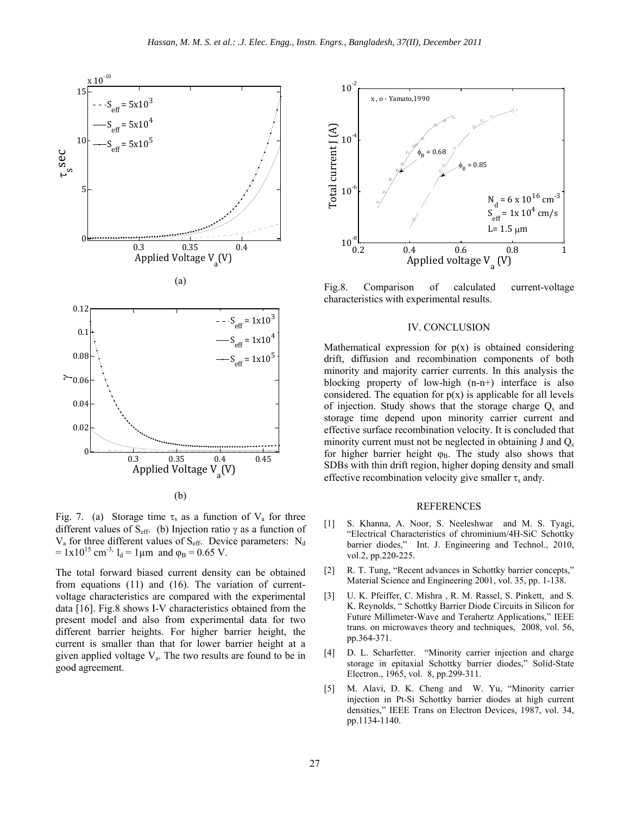

(b)

Fig. 7. (a) Storage time  $\tau_s$  as a function of  $V_a$  for three different values of S<sub>eff.</sub> (b) Injection ratio  $\gamma$  as a function of  $V_a$  for three different values of  $S_{\text{eff}}$ . Device parameters:  $N_d$  $= 1x10^{15}$  cm<sup>-3,</sup>  $l_d = 1 \mu m$  and  $\varphi_B = 0.65$  V.

The total forward biased current density can be obtained from equations (11) and (16). The variation of currentvoltage characteristics are compared with the experimental data [16]. Fig.8 shows I-V characteristics obtained from the present model and also from experimental data for two different barrier heights. For higher barrier height, the current is smaller than that for lower barrier height at a given applied voltage  $V_a$ . The two results are found to be in good agreement.



Fig.8. Comparison of calculated current-voltage characteristics with experimental results.

## IV. CONCLUSION

Mathematical expression for  $p(x)$  is obtained considering drift, diffusion and recombination components of both minority and majority carrier currents. In this analysis the blocking property of low-high (n-n+) interface is also considered. The equation for  $p(x)$  is applicable for all levels of injection. Study shows that the storage charge  $Q_s$  and storage time depend upon minority carrier current and effective surface recombination velocity. It is concluded that minority current must not be neglected in obtaining  $J$  and  $Q_s$ for higher barrier height  $\varphi_B$ . The study also shows that SDBs with thin drift region, higher doping density and small effective recombination velocity give smaller  $\tau_s$  andy.

### REFERENCES

- [1] S. Khanna, A. Noor, S. Neeleshwar and M. S. Tyagi, "Electrical Characteristics of chrominium/4H-SiC Schottky barrier diodes," Int. J. Engineering and Technol., 2010, vol.2, pp.220-225.
- [2] R. T. Tung, "Recent advances in Schottky barrier concepts," Material Science and Engineering 2001, vol. 35, pp. 1-138.
- [3] U. K. Pfeiffer, C. Mishra , R. M. Rassel, S. Pinkett, and S. K. Reynolds, " Schottky Barrier Diode Circuits in Silicon for Future Millimeter-Wave and Terahertz Applications," IEEE trans. on microwaves theory and techniques, 2008, vol. 56, pp.364-371.
- [4] D. L. Scharfetter. "Minority carrier injection and charge storage in epitaxial Schottky barrier diodes," Solid-State Electron., 1965, vol. 8, pp.299-311.
- [5] M. Alavi, D. K. Cheng and W. Yu, "Minority carrier injection in Pt-Si Schottky barrier diodes at high current densities," IEEE Trans on Electron Devices, 1987, vol. 34, pp.1134-1140.